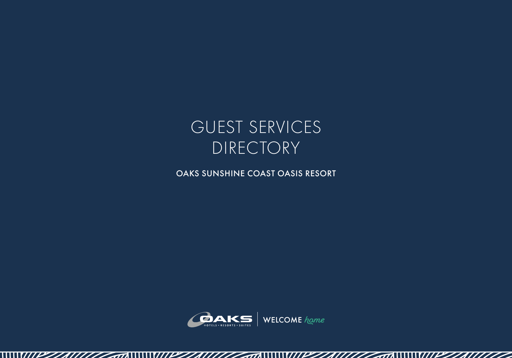

OAKS SUNSHINE COAST OASIS RESORT



 $\sqrt{a}$ 

 $1111777777$ 

WIPZ